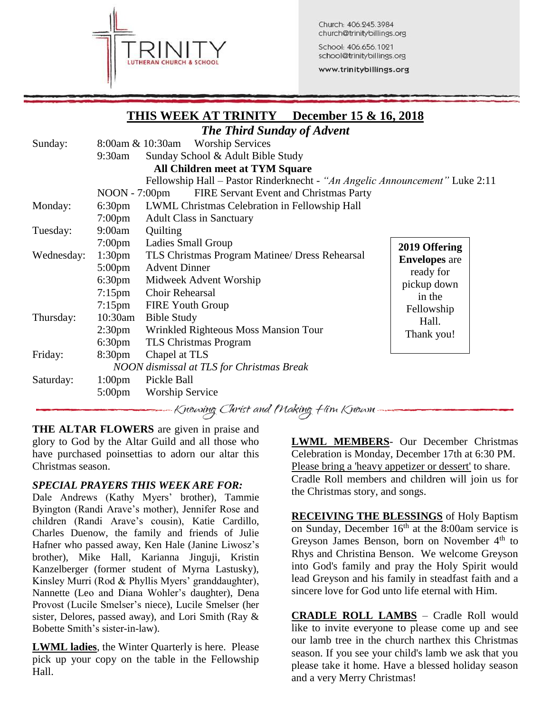

Church: 406.245.3984 church@trinitybillings.org

School: 406.656.1021 school@trinitybillings.org www.trinitybillings.org

## **THIS WEEK AT TRINITY December 15 & 16, 2018**

|            |                    | <b>The Third Sunday of Advent</b>                                           |                                                  |
|------------|--------------------|-----------------------------------------------------------------------------|--------------------------------------------------|
| Sunday:    |                    | <b>Worship Services</b><br>8:00am & 10:30am                                 |                                                  |
|            | $9:30$ am          | Sunday School & Adult Bible Study                                           |                                                  |
|            |                    | <b>All Children meet at TYM Square</b>                                      |                                                  |
|            |                    | Fellowship Hall - Pastor Rinderknecht - "An Angelic Announcement" Luke 2:11 |                                                  |
|            | $NOON - 7:00pm$    | FIRE Servant Event and Christmas Party                                      |                                                  |
| Monday:    | 6:30 <sub>pm</sub> | LWML Christmas Celebration in Fellowship Hall                               |                                                  |
|            | $7:00 \text{pm}$   | <b>Adult Class in Sanctuary</b>                                             |                                                  |
| Tuesday:   | 9:00am             | Quilting                                                                    |                                                  |
|            | $7:00 \text{pm}$   | Ladies Small Group                                                          | 2019 Offering                                    |
| Wednesday: | 1:30 <sub>pm</sub> | TLS Christmas Program Matinee/ Dress Rehearsal                              | <b>Envelopes</b> are<br>ready for<br>pickup down |
|            | $5:00 \text{pm}$   | <b>Advent Dinner</b>                                                        |                                                  |
|            | 6:30 <sub>pm</sub> | Midweek Advent Worship<br>Choir Rehearsal                                   |                                                  |
|            | $7:15 \text{pm}$   |                                                                             | in the                                           |
|            | $7:15$ pm          | <b>FIRE Youth Group</b>                                                     | Fellowship                                       |
| Thursday:  | $10:30$ am         | <b>Bible Study</b>                                                          | Hall.                                            |
|            | 2:30 <sub>pm</sub> | Wrinkled Righteous Moss Mansion Tour                                        | Thank you!                                       |
|            | 6:30 <sub>pm</sub> | TLS Christmas Program                                                       |                                                  |
| Friday:    | 8:30 <sub>pm</sub> | Chapel at TLS                                                               |                                                  |
|            |                    | NOON dismissal at TLS for Christmas Break                                   |                                                  |
| Saturday:  | 1:00 <sub>pm</sub> | Pickle Ball                                                                 |                                                  |
|            | $5:00 \text{pm}$   | <b>Worship Service</b>                                                      |                                                  |
|            |                    | $\sim$ $\sim$ $\sim$ $\sim$ $\sim$ $\sim$ $\sim$ $\sim$                     |                                                  |

Knowing Christ and Making Him Known

**THE ALTAR FLOWERS** are given in praise and glory to God by the Altar Guild and all those who have purchased poinsettias to adorn our altar this Christmas season.

## *SPECIAL PRAYERS THIS WEEK ARE FOR:*

Dale Andrews (Kathy Myers' brother), Tammie Byington (Randi Arave's mother), Jennifer Rose and children (Randi Arave's cousin), Katie Cardillo, Charles Duenow, the family and friends of Julie Hafner who passed away, Ken Hale (Janine Liwosz's brother), Mike Hall, Karianna Jinguji, Kristin Kanzelberger (former student of Myrna Lastusky), Kinsley Murri (Rod & Phyllis Myers' granddaughter), Nannette (Leo and Diana Wohler's daughter), Dena Provost (Lucile Smelser's niece), Lucile Smelser (her sister, Delores, passed away), and Lori Smith (Ray & Bobette Smith's sister-in-law).

**LWML ladies**, the Winter Quarterly is here. Please pick up your copy on the table in the Fellowship Hall.

**LWML MEMBERS**- Our December Christmas Celebration is Monday, December 17th at 6:30 PM. Please bring a 'heavy appetizer or dessert' to share. Cradle Roll members and children will join us for the Christmas story, and songs.

**RECEIVING THE BLESSINGS** of Holy Baptism on Sunday, December  $16<sup>th</sup>$  at the 8:00am service is Greyson James Benson, born on November  $4<sup>th</sup>$  to Rhys and Christina Benson. We welcome Greyson into God's family and pray the Holy Spirit would lead Greyson and his family in steadfast faith and a sincere love for God unto life eternal with Him.

**CRADLE ROLL LAMBS** – Cradle Roll would like to invite everyone to please come up and see our lamb tree in the church narthex this Christmas season. If you see your child's lamb we ask that you please take it home. Have a blessed holiday season and a very Merry Christmas!